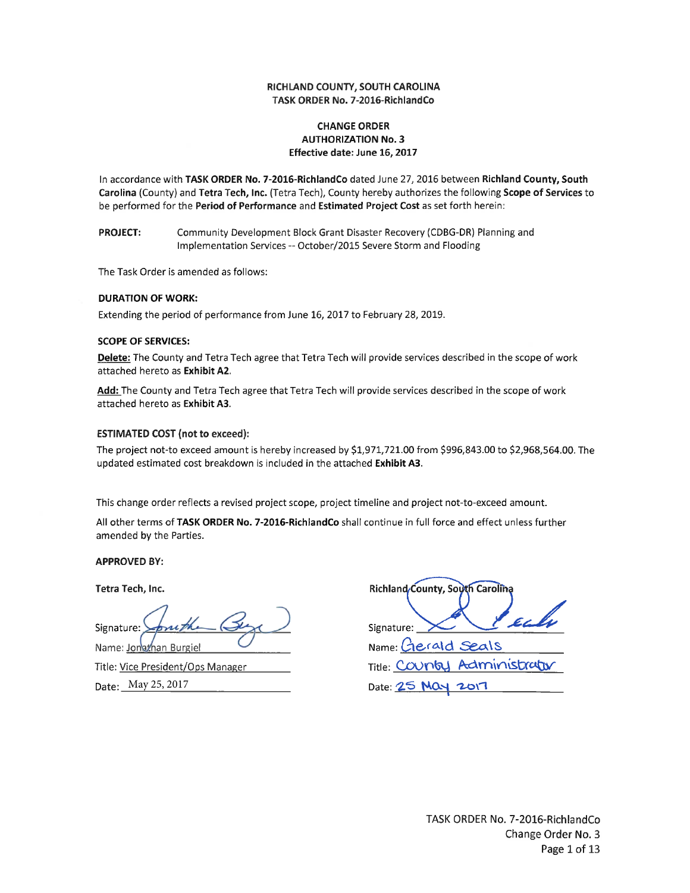## RICHLAND COUNTY, SOUTH CAROLINA TASK ORDER No. 7-2016-RichlandCo

## **CHANGE ORDER AUTHORIZATION No. 3** Effective date: June 16, 2017

In accordance with TASK ORDER No. 7-2016-RichlandCo dated June 27, 2016 between Richland County, South Carolina (County) and Tetra Tech, Inc. (Tetra Tech), County hereby authorizes the following Scope of Services to be performed for the Period of Performance and Estimated Project Cost as set forth herein:

**PROJECT:** Community Development Block Grant Disaster Recovery (CDBG-DR) Planning and Implementation Services -- October/2015 Severe Storm and Flooding

The Task Order is amended as follows:

## **DURATION OF WORK:**

Extending the period of performance from June 16, 2017 to February 28, 2019.

#### **SCOPE OF SERVICES:**

Delete: The County and Tetra Tech agree that Tetra Tech will provide services described in the scope of work attached hereto as Exhibit A2.

Add: The County and Tetra Tech agree that Tetra Tech will provide services described in the scope of work attached hereto as Exhibit A3.

## **ESTIMATED COST (not to exceed):**

The project not-to exceed amount is hereby increased by \$1,971,721.00 from \$996,843.00 to \$2,968,564.00. The updated estimated cost breakdown is included in the attached Exhibit A3.

This change order reflects a revised project scope, project timeline and project not-to-exceed amount.

All other terms of TASK ORDER No. 7-2016-RichlandCo shall continue in full force and effect unless further amended by the Parties.

**APPROVED BY:** 

Tetra Tech, Inc.

Signature: Name: Jonathan Burgiel

Title: Vice President/Ops Manager Date: May 25, 2017

Richland County, South Carolina  $E_{L}$ Signature: Name: Cierald Seals Title: Country Administrator Date: 25 May 2017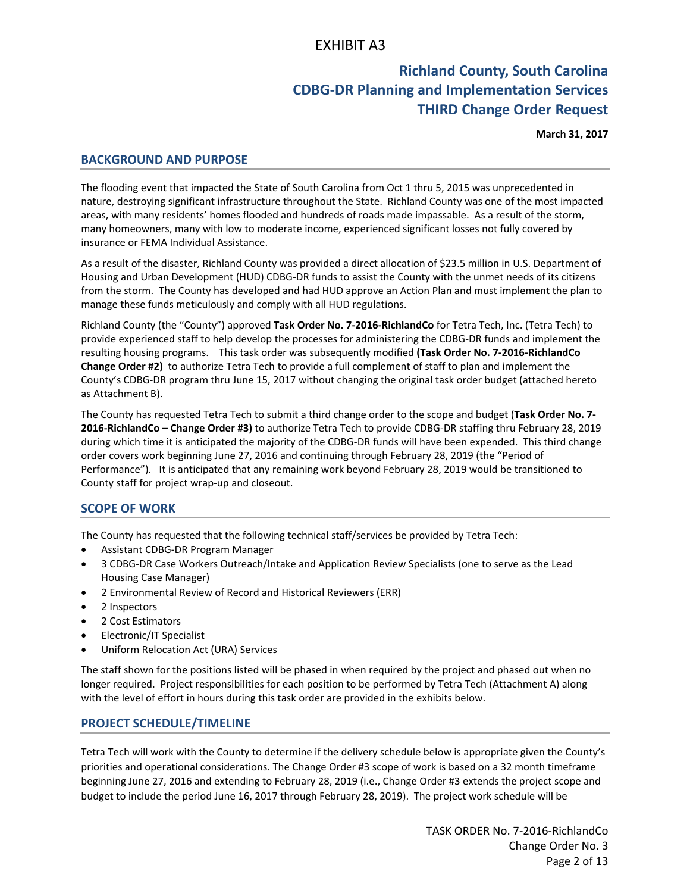# **Richland County, South Carolina CDBG‐DR Planning and Implementation Services THIRD Change Order Request**

**March 31, 2017**

## **BACKGROUND AND PURPOSE**

The flooding event that impacted the State of South Carolina from Oct 1 thru 5, 2015 was unprecedented in nature, destroying significant infrastructure throughout the State. Richland County was one of the most impacted areas, with many residents' homes flooded and hundreds of roads made impassable. As a result of the storm, many homeowners, many with low to moderate income, experienced significant losses not fully covered by insurance or FEMA Individual Assistance.

As a result of the disaster, Richland County was provided a direct allocation of \$23.5 million in U.S. Department of Housing and Urban Development (HUD) CDBG‐DR funds to assist the County with the unmet needs of its citizens from the storm. The County has developed and had HUD approve an Action Plan and must implement the plan to manage these funds meticulously and comply with all HUD regulations.

Richland County (the "County") approved **Task Order No. 7‐2016‐RichlandCo** for Tetra Tech, Inc. (Tetra Tech) to provide experienced staff to help develop the processes for administering the CDBG‐DR funds and implement the resulting housing programs. This task order was subsequently modified **(Task Order No. 7‐2016‐RichlandCo Change Order #2)** to authorize Tetra Tech to provide a full complement of staff to plan and implement the County's CDBG‐DR program thru June 15, 2017 without changing the original task order budget (attached hereto as Attachment B).

The County has requested Tetra Tech to submit a third change order to the scope and budget (**Task Order No. 7‐ 2016‐RichlandCo – Change Order #3)** to authorize Tetra Tech to provide CDBG‐DR staffing thru February 28, 2019 during which time it is anticipated the majority of the CDBG‐DR funds will have been expended. This third change order covers work beginning June 27, 2016 and continuing through February 28, 2019 (the "Period of Performance"). It is anticipated that any remaining work beyond February 28, 2019 would be transitioned to County staff for project wrap‐up and closeout.

# **SCOPE OF WORK**

The County has requested that the following technical staff/services be provided by Tetra Tech:

- Assistant CDBG‐DR Program Manager
- 3 CDBG‐DR Case Workers Outreach/Intake and Application Review Specialists (one to serve as the Lead Housing Case Manager)
- 2 Environmental Review of Record and Historical Reviewers (ERR)
- 2 Inspectors
- 2 Cost Estimators
- Electronic/IT Specialist
- Uniform Relocation Act (URA) Services

The staff shown for the positions listed will be phased in when required by the project and phased out when no longer required. Project responsibilities for each position to be performed by Tetra Tech (Attachment A) along with the level of effort in hours during this task order are provided in the exhibits below.

## **PROJECT SCHEDULE/TIMELINE**

Tetra Tech will work with the County to determine if the delivery schedule below is appropriate given the County's priorities and operational considerations. The Change Order #3 scope of work is based on a 32 month timeframe beginning June 27, 2016 and extending to February 28, 2019 (i.e., Change Order #3 extends the project scope and budget to include the period June 16, 2017 through February 28, 2019). The project work schedule will be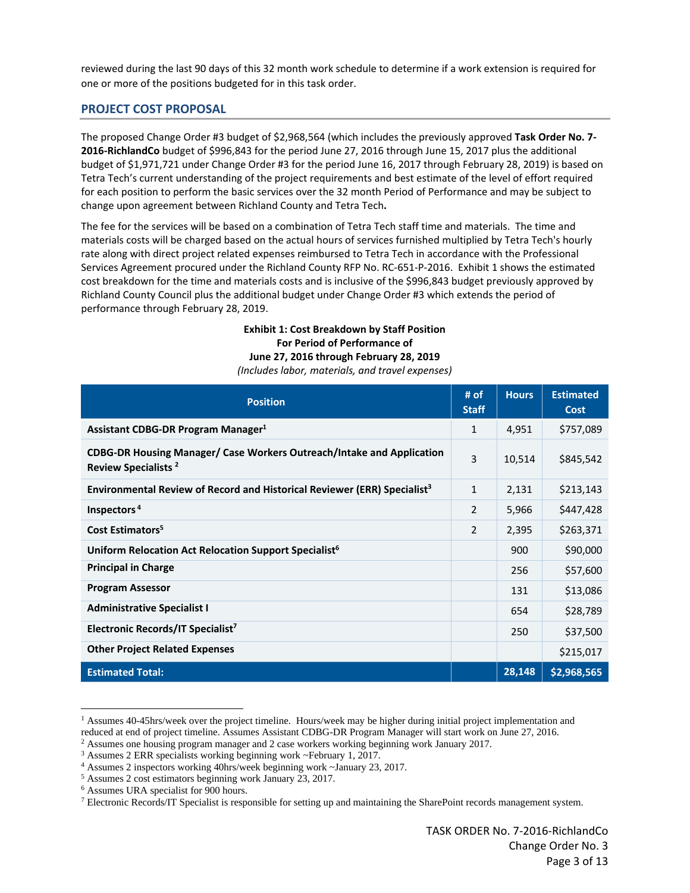reviewed during the last 90 days of this 32 month work schedule to determine if a work extension is required for one or more of the positions budgeted for in this task order.

## **PROJECT COST PROPOSAL**

The proposed Change Order #3 budget of \$2,968,564 (which includes the previously approved **Task Order No. 7‐ 2016‐RichlandCo** budget of \$996,843 for the period June 27, 2016 through June 15, 2017 plus the additional budget of \$1,971,721 under Change Order #3 for the period June 16, 2017 through February 28, 2019) is based on Tetra Tech's current understanding of the project requirements and best estimate of the level of effort required for each position to perform the basic services over the 32 month Period of Performance and may be subject to change upon agreement between Richland County and Tetra Tech**.**

The fee for the services will be based on a combination of Tetra Tech staff time and materials. The time and materials costs will be charged based on the actual hours of services furnished multiplied by Tetra Tech's hourly rate along with direct project related expenses reimbursed to Tetra Tech in accordance with the Professional Services Agreement procured under the Richland County RFP No. RC‐651‐P‐2016. Exhibit 1 shows the estimated cost breakdown for the time and materials costs and is inclusive of the \$996,843 budget previously approved by Richland County Council plus the additional budget under Change Order #3 which extends the period of performance through February 28, 2019.

## **Exhibit 1: Cost Breakdown by Staff Position For Period of Performance of June 27, 2016 through February 28, 2019** *(Includes labor, materials, and travel expenses)*

| Position                                                                                                        | # of<br><b>Staff</b> | <b>Hours</b> | <b>Estimated</b><br>Cost |
|-----------------------------------------------------------------------------------------------------------------|----------------------|--------------|--------------------------|
| Assistant CDBG-DR Program Manager <sup>1</sup>                                                                  | $\mathbf{1}$         | 4,951        | \$757,089                |
| <b>CDBG-DR Housing Manager/ Case Workers Outreach/Intake and Application</b><br>Review Specialists <sup>2</sup> | 3                    | 10,514       | \$845,542                |
| <b>Environmental Review of Record and Historical Reviewer (ERR) Specialist<sup>3</sup></b>                      | $\mathbf{1}$         | 2,131        | \$213,143                |
| Inspectors <sup>4</sup>                                                                                         | 2                    | 5,966        | \$447,428                |
| Cost Estimators <sup>5</sup>                                                                                    | $\overline{2}$       | 2,395        | \$263,371                |
| Uniform Relocation Act Relocation Support Specialist <sup>6</sup>                                               |                      | 900          | \$90,000                 |
| <b>Principal in Charge</b>                                                                                      |                      | 256          | \$57,600                 |
| <b>Program Assessor</b>                                                                                         |                      | 131          | \$13,086                 |
| <b>Administrative Specialist I</b>                                                                              |                      | 654          | \$28,789                 |
| Electronic Records/IT Specialist <sup>7</sup>                                                                   |                      | 250          | \$37,500                 |
| <b>Other Project Related Expenses</b>                                                                           |                      |              | \$215,017                |
| <b>Estimated Total:</b>                                                                                         |                      | 28,148       | \$2,968,565              |

<sup>1</sup> Assumes 40-45hrs/week over the project timeline. Hours/week may be higher during initial project implementation and reduced at end of project timeline. Assumes Assistant CDBG-DR Program Manager will start work on June 27, 2016.<br>
<sup>2</sup> Assumes one housing program manager and 2 case workers working beginning work January 2017.<br>
<sup>3</sup> Assumes

<sup>5</sup> Assumes 2 cost estimators beginning work January 23, 2017.

<sup>6</sup> Assumes URA specialist for 900 hours.

<sup>7</sup> Electronic Records/IT Specialist is responsible for setting up and maintaining the SharePoint records management system.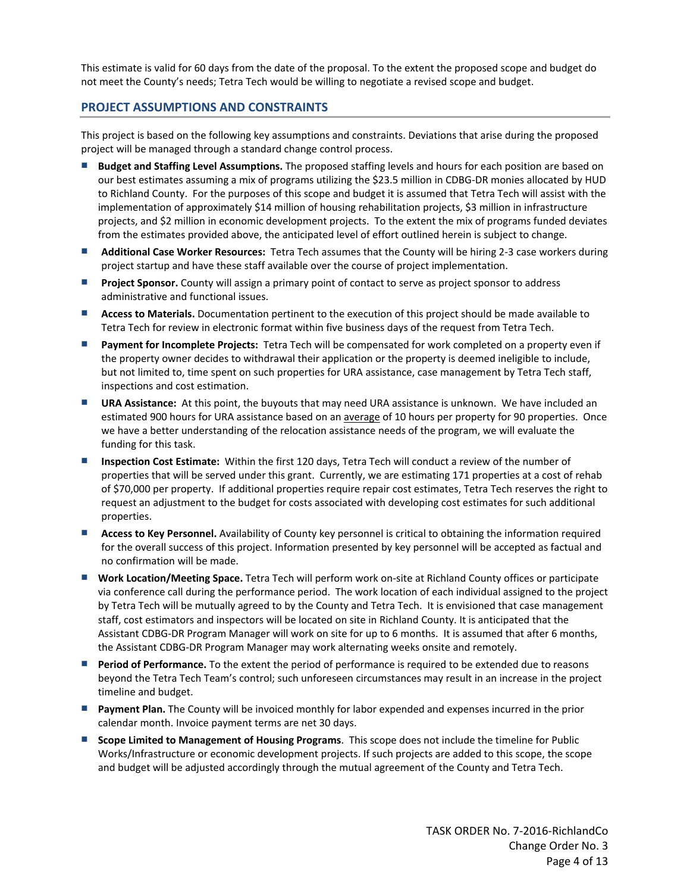This estimate is valid for 60 days from the date of the proposal. To the extent the proposed scope and budget do not meet the County's needs; Tetra Tech would be willing to negotiate a revised scope and budget.

## **PROJECT ASSUMPTIONS AND CONSTRAINTS**

This project is based on the following key assumptions and constraints. Deviations that arise during the proposed project will be managed through a standard change control process.

- **Budget and Staffing Level Assumptions.** The proposed staffing levels and hours for each position are based on our best estimates assuming a mix of programs utilizing the \$23.5 million in CDBG‐DR monies allocated by HUD to Richland County. For the purposes of this scope and budget it is assumed that Tetra Tech will assist with the implementation of approximately \$14 million of housing rehabilitation projects, \$3 million in infrastructure projects, and \$2 million in economic development projects. To the extent the mix of programs funded deviates from the estimates provided above, the anticipated level of effort outlined herein is subject to change.
- **Additional Case Worker Resources:** Tetra Tech assumes that the County will be hiring 2-3 case workers during project startup and have these staff available over the course of project implementation.
- **Project Sponsor.** County will assign a primary point of contact to serve as project sponsor to address administrative and functional issues.
- **Access to Materials.** Documentation pertinent to the execution of this project should be made available to Tetra Tech for review in electronic format within five business days of the request from Tetra Tech.
- **Payment for Incomplete Projects:** Tetra Tech will be compensated for work completed on a property even if the property owner decides to withdrawal their application or the property is deemed ineligible to include, but not limited to, time spent on such properties for URA assistance, case management by Tetra Tech staff, inspections and cost estimation.
- **URA Assistance:** At this point, the buyouts that may need URA assistance is unknown. We have included an estimated 900 hours for URA assistance based on an average of 10 hours per property for 90 properties. Once we have a better understanding of the relocation assistance needs of the program, we will evaluate the funding for this task.
- **Inspection Cost Estimate:** Within the first 120 days, Tetra Tech will conduct a review of the number of properties that will be served under this grant. Currently, we are estimating 171 properties at a cost of rehab of \$70,000 per property. If additional properties require repair cost estimates, Tetra Tech reserves the right to request an adjustment to the budget for costs associated with developing cost estimates for such additional properties.
- **Access to Key Personnel.** Availability of County key personnel is critical to obtaining the information required for the overall success of this project. Information presented by key personnel will be accepted as factual and no confirmation will be made.
- Work Location/Meeting Space. Tetra Tech will perform work on-site at Richland County offices or participate via conference call during the performance period. The work location of each individual assigned to the project by Tetra Tech will be mutually agreed to by the County and Tetra Tech. It is envisioned that case management staff, cost estimators and inspectors will be located on site in Richland County. It is anticipated that the Assistant CDBG‐DR Program Manager will work on site for up to 6 months. It is assumed that after 6 months, the Assistant CDBG‐DR Program Manager may work alternating weeks onsite and remotely.
- **Period of Performance.** To the extent the period of performance is required to be extended due to reasons beyond the Tetra Tech Team's control; such unforeseen circumstances may result in an increase in the project timeline and budget.
- **Payment Plan.** The County will be invoiced monthly for labor expended and expenses incurred in the prior calendar month. Invoice payment terms are net 30 days.
- **Scope Limited to Management of Housing Programs**. This scope does not include the timeline for Public Works/Infrastructure or economic development projects. If such projects are added to this scope, the scope and budget will be adjusted accordingly through the mutual agreement of the County and Tetra Tech.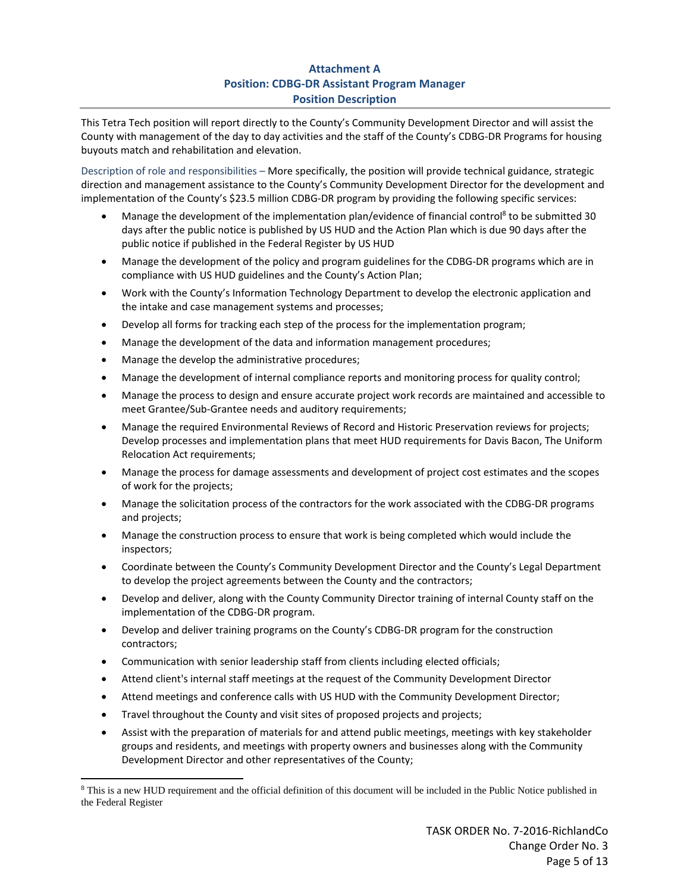# **Attachment A Position: CDBG‐DR Assistant Program Manager Position Description**

This Tetra Tech position will report directly to the County's Community Development Director and will assist the County with management of the day to day activities and the staff of the County's CDBG‐DR Programs for housing buyouts match and rehabilitation and elevation.

Description of role and responsibilities – More specifically, the position will provide technical guidance, strategic direction and management assistance to the County's Community Development Director for the development and implementation of the County's \$23.5 million CDBG-DR program by providing the following specific services:

- Manage the development of the implementation plan/evidence of financial control<sup>8</sup> to be submitted 30 days after the public notice is published by US HUD and the Action Plan which is due 90 days after the public notice if published in the Federal Register by US HUD
- Manage the development of the policy and program guidelines for the CDBG‐DR programs which are in compliance with US HUD guidelines and the County's Action Plan;
- Work with the County's Information Technology Department to develop the electronic application and the intake and case management systems and processes;
- Develop all forms for tracking each step of the process for the implementation program;
- Manage the development of the data and information management procedures;
- Manage the develop the administrative procedures;
- Manage the development of internal compliance reports and monitoring process for quality control;
- Manage the process to design and ensure accurate project work records are maintained and accessible to meet Grantee/Sub‐Grantee needs and auditory requirements;
- Manage the required Environmental Reviews of Record and Historic Preservation reviews for projects; Develop processes and implementation plans that meet HUD requirements for Davis Bacon, The Uniform Relocation Act requirements;
- Manage the process for damage assessments and development of project cost estimates and the scopes of work for the projects;
- Manage the solicitation process of the contractors for the work associated with the CDBG-DR programs and projects;
- Manage the construction process to ensure that work is being completed which would include the inspectors;
- Coordinate between the County's Community Development Director and the County's Legal Department to develop the project agreements between the County and the contractors;
- Develop and deliver, along with the County Community Director training of internal County staff on the implementation of the CDBG‐DR program.
- Develop and deliver training programs on the County's CDBG-DR program for the construction contractors;
- Communication with senior leadership staff from clients including elected officials;
- Attend client's internal staff meetings at the request of the Community Development Director
- Attend meetings and conference calls with US HUD with the Community Development Director;
- Travel throughout the County and visit sites of proposed projects and projects;

 Assist with the preparation of materials for and attend public meetings, meetings with key stakeholder groups and residents, and meetings with property owners and businesses along with the Community Development Director and other representatives of the County;

<sup>&</sup>lt;sup>8</sup> This is a new HUD requirement and the official definition of this document will be included in the Public Notice published in the Federal Register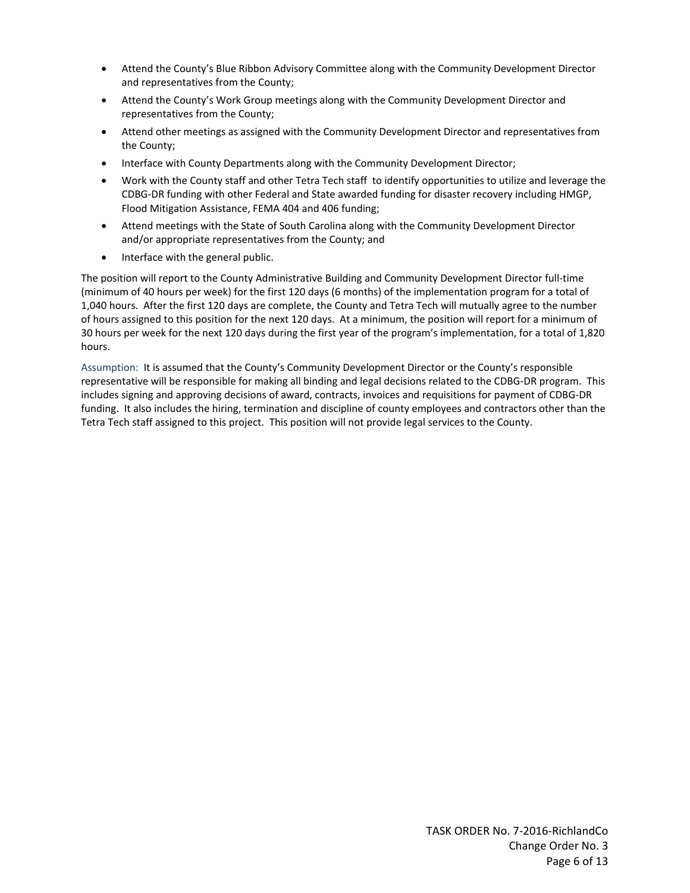- Attend the County's Blue Ribbon Advisory Committee along with the Community Development Director and representatives from the County;
- Attend the County's Work Group meetings along with the Community Development Director and representatives from the County;
- Attend other meetings as assigned with the Community Development Director and representatives from the County;
- Interface with County Departments along with the Community Development Director;
- Work with the County staff and other Tetra Tech staff to identify opportunities to utilize and leverage the CDBG‐DR funding with other Federal and State awarded funding for disaster recovery including HMGP, Flood Mitigation Assistance, FEMA 404 and 406 funding;
- Attend meetings with the State of South Carolina along with the Community Development Director and/or appropriate representatives from the County; and
- Interface with the general public.

The position will report to the County Administrative Building and Community Development Director full‐time (minimum of 40 hours per week) for the first 120 days (6 months) of the implementation program for a total of 1,040 hours. After the first 120 days are complete, the County and Tetra Tech will mutually agree to the number of hours assigned to this position for the next 120 days. At a minimum, the position will report for a minimum of 30 hours per week for the next 120 days during the first year of the program's implementation, for a total of 1,820 hours.

Assumption: It is assumed that the County's Community Development Director or the County's responsible representative will be responsible for making all binding and legal decisions related to the CDBG‐DR program. This includes signing and approving decisions of award, contracts, invoices and requisitions for payment of CDBG‐DR funding. It also includes the hiring, termination and discipline of county employees and contractors other than the Tetra Tech staff assigned to this project. This position will not provide legal services to the County.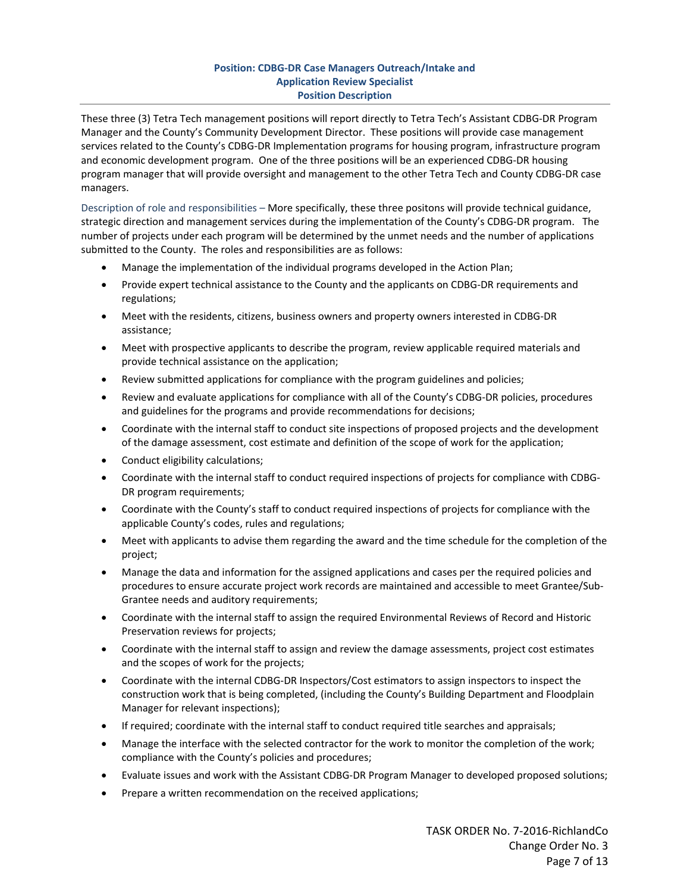## **Position: CDBG‐DR Case Managers Outreach/Intake and Application Review Specialist Position Description**

These three (3) Tetra Tech management positions will report directly to Tetra Tech's Assistant CDBG‐DR Program Manager and the County's Community Development Director. These positions will provide case management services related to the County's CDBG-DR Implementation programs for housing program, infrastructure program and economic development program. One of the three positions will be an experienced CDBG‐DR housing program manager that will provide oversight and management to the other Tetra Tech and County CDBG‐DR case managers.

Description of role and responsibilities – More specifically, these three positons will provide technical guidance, strategic direction and management services during the implementation of the County's CDBG‐DR program. The number of projects under each program will be determined by the unmet needs and the number of applications submitted to the County. The roles and responsibilities are as follows:

- Manage the implementation of the individual programs developed in the Action Plan;
- Provide expert technical assistance to the County and the applicants on CDBG-DR requirements and regulations;
- Meet with the residents, citizens, business owners and property owners interested in CDBG-DR assistance;
- Meet with prospective applicants to describe the program, review applicable required materials and provide technical assistance on the application;
- Review submitted applications for compliance with the program guidelines and policies;
- Review and evaluate applications for compliance with all of the County's CDBG‐DR policies, procedures and guidelines for the programs and provide recommendations for decisions;
- Coordinate with the internal staff to conduct site inspections of proposed projects and the development of the damage assessment, cost estimate and definition of the scope of work for the application;
- Conduct eligibility calculations;
- Coordinate with the internal staff to conduct required inspections of projects for compliance with CDBG-DR program requirements;
- Coordinate with the County's staff to conduct required inspections of projects for compliance with the applicable County's codes, rules and regulations;
- Meet with applicants to advise them regarding the award and the time schedule for the completion of the project;
- Manage the data and information for the assigned applications and cases per the required policies and procedures to ensure accurate project work records are maintained and accessible to meet Grantee/Sub-Grantee needs and auditory requirements;
- Coordinate with the internal staff to assign the required Environmental Reviews of Record and Historic Preservation reviews for projects;
- Coordinate with the internal staff to assign and review the damage assessments, project cost estimates and the scopes of work for the projects;
- Coordinate with the internal CDBG-DR Inspectors/Cost estimators to assign inspectors to inspect the construction work that is being completed, (including the County's Building Department and Floodplain Manager for relevant inspections);
- If required; coordinate with the internal staff to conduct required title searches and appraisals;
- Manage the interface with the selected contractor for the work to monitor the completion of the work; compliance with the County's policies and procedures;
- Evaluate issues and work with the Assistant CDBG‐DR Program Manager to developed proposed solutions;
- Prepare a written recommendation on the received applications;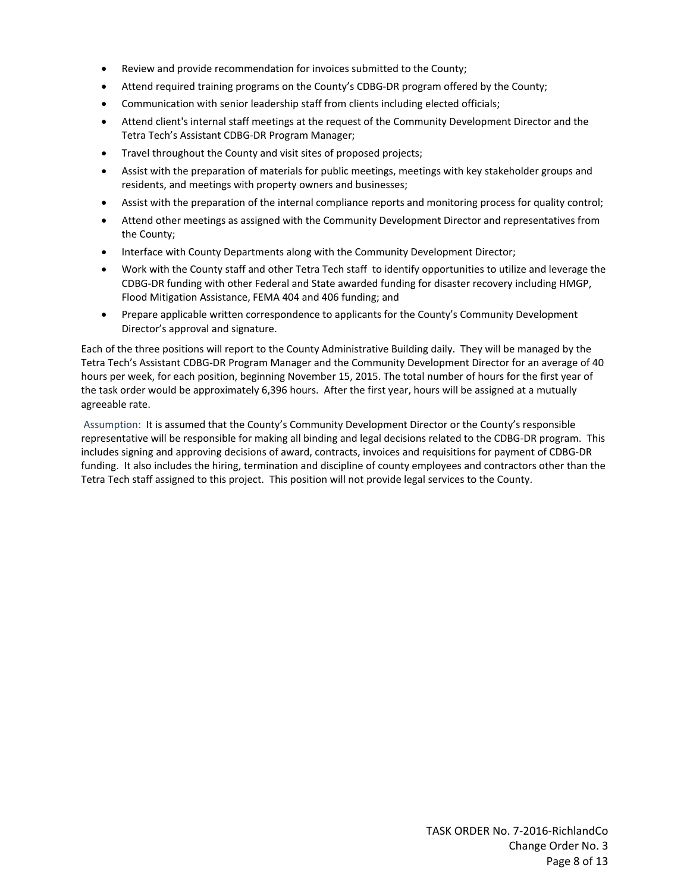- Review and provide recommendation for invoices submitted to the County;
- Attend required training programs on the County's CDBG‐DR program offered by the County;
- Communication with senior leadership staff from clients including elected officials;
- Attend client's internal staff meetings at the request of the Community Development Director and the Tetra Tech's Assistant CDBG‐DR Program Manager;
- Travel throughout the County and visit sites of proposed projects;
- Assist with the preparation of materials for public meetings, meetings with key stakeholder groups and residents, and meetings with property owners and businesses;
- Assist with the preparation of the internal compliance reports and monitoring process for quality control;
- Attend other meetings as assigned with the Community Development Director and representatives from the County;
- Interface with County Departments along with the Community Development Director;
- Work with the County staff and other Tetra Tech staff to identify opportunities to utilize and leverage the CDBG‐DR funding with other Federal and State awarded funding for disaster recovery including HMGP, Flood Mitigation Assistance, FEMA 404 and 406 funding; and
- Prepare applicable written correspondence to applicants for the County's Community Development Director's approval and signature.

Each of the three positions will report to the County Administrative Building daily. They will be managed by the Tetra Tech's Assistant CDBG‐DR Program Manager and the Community Development Director for an average of 40 hours per week, for each position, beginning November 15, 2015. The total number of hours for the first year of the task order would be approximately 6,396 hours. After the first year, hours will be assigned at a mutually agreeable rate.

Assumption: It is assumed that the County's Community Development Director or the County's responsible representative will be responsible for making all binding and legal decisions related to the CDBG‐DR program. This includes signing and approving decisions of award, contracts, invoices and requisitions for payment of CDBG‐DR funding. It also includes the hiring, termination and discipline of county employees and contractors other than the Tetra Tech staff assigned to this project. This position will not provide legal services to the County.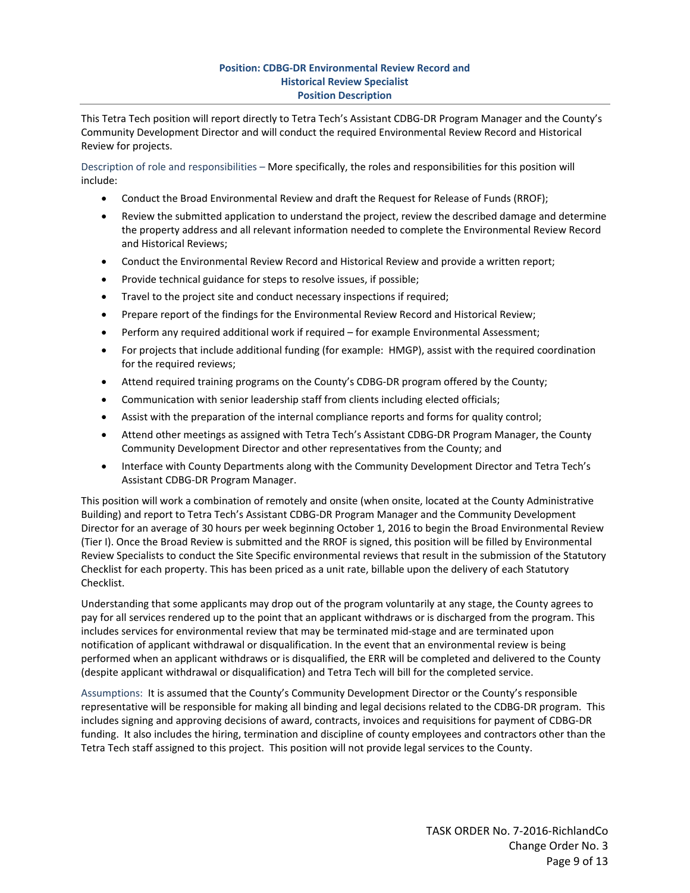## **Position: CDBG‐DR Environmental Review Record and Historical Review Specialist Position Description**

This Tetra Tech position will report directly to Tetra Tech's Assistant CDBG‐DR Program Manager and the County's Community Development Director and will conduct the required Environmental Review Record and Historical Review for projects.

Description of role and responsibilities – More specifically, the roles and responsibilities for this position will include:

- Conduct the Broad Environmental Review and draft the Request for Release of Funds (RROF);
- Review the submitted application to understand the project, review the described damage and determine the property address and all relevant information needed to complete the Environmental Review Record and Historical Reviews;
- Conduct the Environmental Review Record and Historical Review and provide a written report;
- Provide technical guidance for steps to resolve issues, if possible;
- Travel to the project site and conduct necessary inspections if required;
- Prepare report of the findings for the Environmental Review Record and Historical Review;
- Perform any required additional work if required for example Environmental Assessment;
- For projects that include additional funding (for example: HMGP), assist with the required coordination for the required reviews;
- Attend required training programs on the County's CDBG‐DR program offered by the County;
- Communication with senior leadership staff from clients including elected officials;
- Assist with the preparation of the internal compliance reports and forms for quality control;
- Attend other meetings as assigned with Tetra Tech's Assistant CDBG-DR Program Manager, the County Community Development Director and other representatives from the County; and
- Interface with County Departments along with the Community Development Director and Tetra Tech's Assistant CDBG‐DR Program Manager.

This position will work a combination of remotely and onsite (when onsite, located at the County Administrative Building) and report to Tetra Tech's Assistant CDBG‐DR Program Manager and the Community Development Director for an average of 30 hours per week beginning October 1, 2016 to begin the Broad Environmental Review (Tier I). Once the Broad Review is submitted and the RROF is signed, this position will be filled by Environmental Review Specialists to conduct the Site Specific environmental reviews that result in the submission of the Statutory Checklist for each property. This has been priced as a unit rate, billable upon the delivery of each Statutory Checklist.

Understanding that some applicants may drop out of the program voluntarily at any stage, the County agrees to pay for all services rendered up to the point that an applicant withdraws or is discharged from the program. This includes services for environmental review that may be terminated mid-stage and are terminated upon notification of applicant withdrawal or disqualification. In the event that an environmental review is being performed when an applicant withdraws or is disqualified, the ERR will be completed and delivered to the County (despite applicant withdrawal or disqualification) and Tetra Tech will bill for the completed service.

Assumptions: It is assumed that the County's Community Development Director or the County's responsible representative will be responsible for making all binding and legal decisions related to the CDBG‐DR program. This includes signing and approving decisions of award, contracts, invoices and requisitions for payment of CDBG‐DR funding. It also includes the hiring, termination and discipline of county employees and contractors other than the Tetra Tech staff assigned to this project. This position will not provide legal services to the County.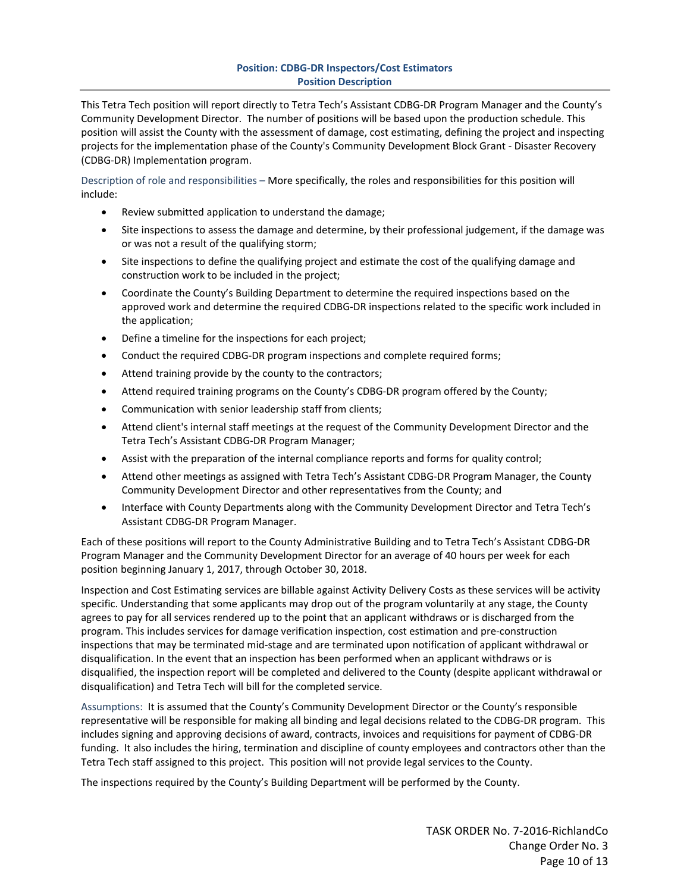## **Position: CDBG‐DR Inspectors/Cost Estimators Position Description**

This Tetra Tech position will report directly to Tetra Tech's Assistant CDBG‐DR Program Manager and the County's Community Development Director. The number of positions will be based upon the production schedule. This position will assist the County with the assessment of damage, cost estimating, defining the project and inspecting projects for the implementation phase of the County's Community Development Block Grant ‐ Disaster Recovery (CDBG‐DR) Implementation program.

Description of role and responsibilities – More specifically, the roles and responsibilities for this position will include:

- Review submitted application to understand the damage;
- Site inspections to assess the damage and determine, by their professional judgement, if the damage was or was not a result of the qualifying storm;
- Site inspections to define the qualifying project and estimate the cost of the qualifying damage and construction work to be included in the project;
- Coordinate the County's Building Department to determine the required inspections based on the approved work and determine the required CDBG‐DR inspections related to the specific work included in the application;
- Define a timeline for the inspections for each project;
- Conduct the required CDBG-DR program inspections and complete required forms;
- Attend training provide by the county to the contractors;
- Attend required training programs on the County's CDBG‐DR program offered by the County;
- Communication with senior leadership staff from clients;
- Attend client's internal staff meetings at the request of the Community Development Director and the Tetra Tech's Assistant CDBG‐DR Program Manager;
- Assist with the preparation of the internal compliance reports and forms for quality control;
- Attend other meetings as assigned with Tetra Tech's Assistant CDBG‐DR Program Manager, the County Community Development Director and other representatives from the County; and
- Interface with County Departments along with the Community Development Director and Tetra Tech's Assistant CDBG‐DR Program Manager.

Each of these positions will report to the County Administrative Building and to Tetra Tech's Assistant CDBG‐DR Program Manager and the Community Development Director for an average of 40 hours per week for each position beginning January 1, 2017, through October 30, 2018.

Inspection and Cost Estimating services are billable against Activity Delivery Costs as these services will be activity specific. Understanding that some applicants may drop out of the program voluntarily at any stage, the County agrees to pay for all services rendered up to the point that an applicant withdraws or is discharged from the program. This includes services for damage verification inspection, cost estimation and pre‐construction inspections that may be terminated mid‐stage and are terminated upon notification of applicant withdrawal or disqualification. In the event that an inspection has been performed when an applicant withdraws or is disqualified, the inspection report will be completed and delivered to the County (despite applicant withdrawal or disqualification) and Tetra Tech will bill for the completed service.

Assumptions: It is assumed that the County's Community Development Director or the County's responsible representative will be responsible for making all binding and legal decisions related to the CDBG‐DR program. This includes signing and approving decisions of award, contracts, invoices and requisitions for payment of CDBG‐DR funding. It also includes the hiring, termination and discipline of county employees and contractors other than the Tetra Tech staff assigned to this project. This position will not provide legal services to the County.

The inspections required by the County's Building Department will be performed by the County.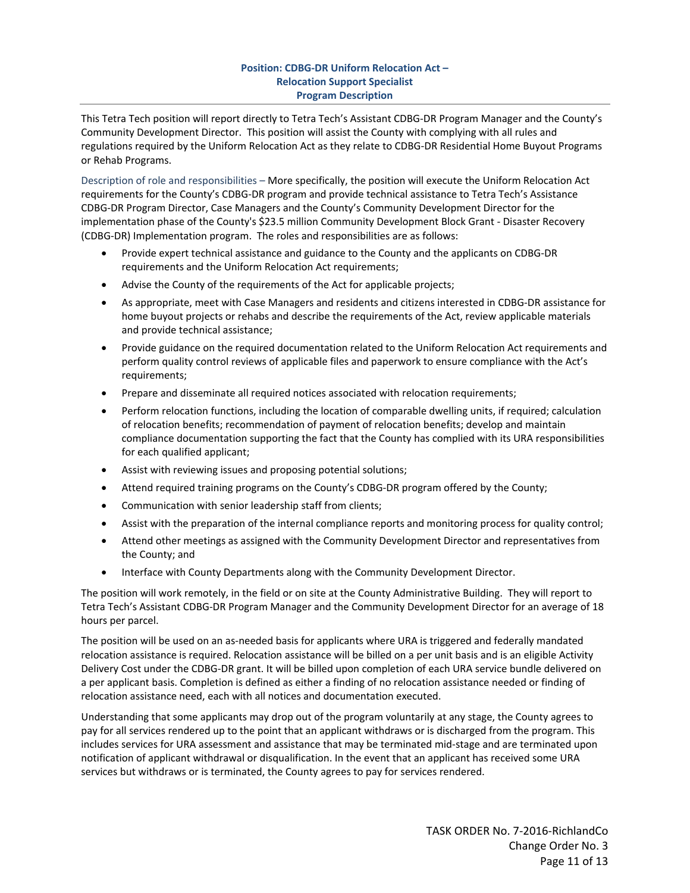## **Position: CDBG‐DR Uniform Relocation Act – Relocation Support Specialist Program Description**

This Tetra Tech position will report directly to Tetra Tech's Assistant CDBG‐DR Program Manager and the County's Community Development Director. This position will assist the County with complying with all rules and regulations required by the Uniform Relocation Act as they relate to CDBG‐DR Residential Home Buyout Programs or Rehab Programs.

Description of role and responsibilities – More specifically, the position will execute the Uniform Relocation Act requirements for the County's CDBG‐DR program and provide technical assistance to Tetra Tech's Assistance CDBG‐DR Program Director, Case Managers and the County's Community Development Director for the implementation phase of the County's \$23.5 million Community Development Block Grant ‐ Disaster Recovery (CDBG‐DR) Implementation program. The roles and responsibilities are as follows:

- Provide expert technical assistance and guidance to the County and the applicants on CDBG‐DR requirements and the Uniform Relocation Act requirements;
- Advise the County of the requirements of the Act for applicable projects;
- As appropriate, meet with Case Managers and residents and citizens interested in CDBG-DR assistance for home buyout projects or rehabs and describe the requirements of the Act, review applicable materials and provide technical assistance;
- Provide guidance on the required documentation related to the Uniform Relocation Act requirements and perform quality control reviews of applicable files and paperwork to ensure compliance with the Act's requirements;
- Prepare and disseminate all required notices associated with relocation requirements;
- Perform relocation functions, including the location of comparable dwelling units, if required; calculation of relocation benefits; recommendation of payment of relocation benefits; develop and maintain compliance documentation supporting the fact that the County has complied with its URA responsibilities for each qualified applicant;
- Assist with reviewing issues and proposing potential solutions;
- Attend required training programs on the County's CDBG‐DR program offered by the County;
- Communication with senior leadership staff from clients;
- Assist with the preparation of the internal compliance reports and monitoring process for quality control;
- Attend other meetings as assigned with the Community Development Director and representatives from the County; and
- Interface with County Departments along with the Community Development Director.

The position will work remotely, in the field or on site at the County Administrative Building. They will report to Tetra Tech's Assistant CDBG‐DR Program Manager and the Community Development Director for an average of 18 hours per parcel.

The position will be used on an as-needed basis for applicants where URA is triggered and federally mandated relocation assistance is required. Relocation assistance will be billed on a per unit basis and is an eligible Activity Delivery Cost under the CDBG‐DR grant. It will be billed upon completion of each URA service bundle delivered on a per applicant basis. Completion is defined as either a finding of no relocation assistance needed or finding of relocation assistance need, each with all notices and documentation executed.

Understanding that some applicants may drop out of the program voluntarily at any stage, the County agrees to pay for all services rendered up to the point that an applicant withdraws or is discharged from the program. This includes services for URA assessment and assistance that may be terminated mid‐stage and are terminated upon notification of applicant withdrawal or disqualification. In the event that an applicant has received some URA services but withdraws or is terminated, the County agrees to pay for services rendered.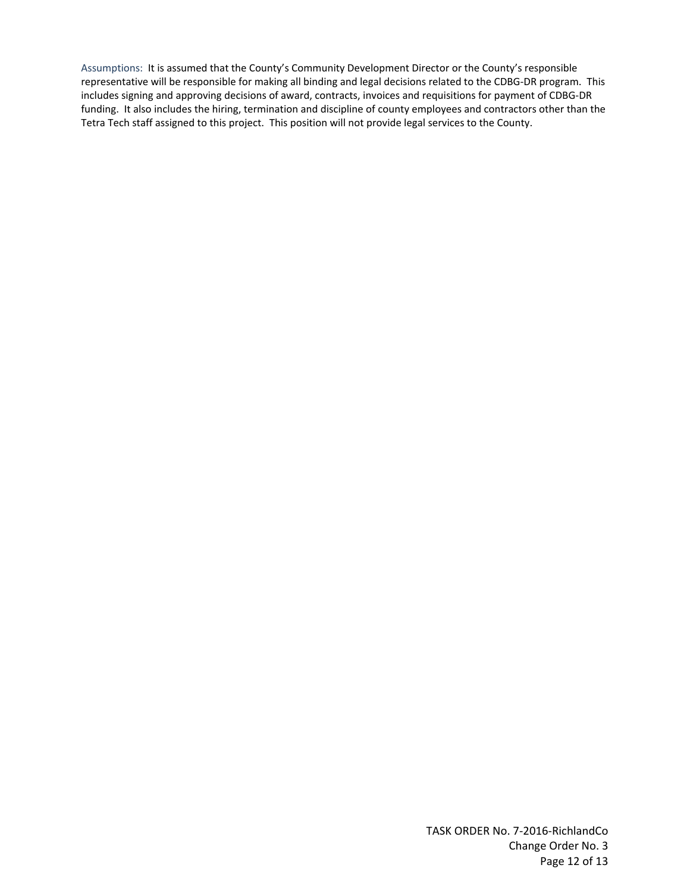Assumptions: It is assumed that the County's Community Development Director or the County's responsible representative will be responsible for making all binding and legal decisions related to the CDBG‐DR program. This includes signing and approving decisions of award, contracts, invoices and requisitions for payment of CDBG‐DR funding. It also includes the hiring, termination and discipline of county employees and contractors other than the Tetra Tech staff assigned to this project. This position will not provide legal services to the County.